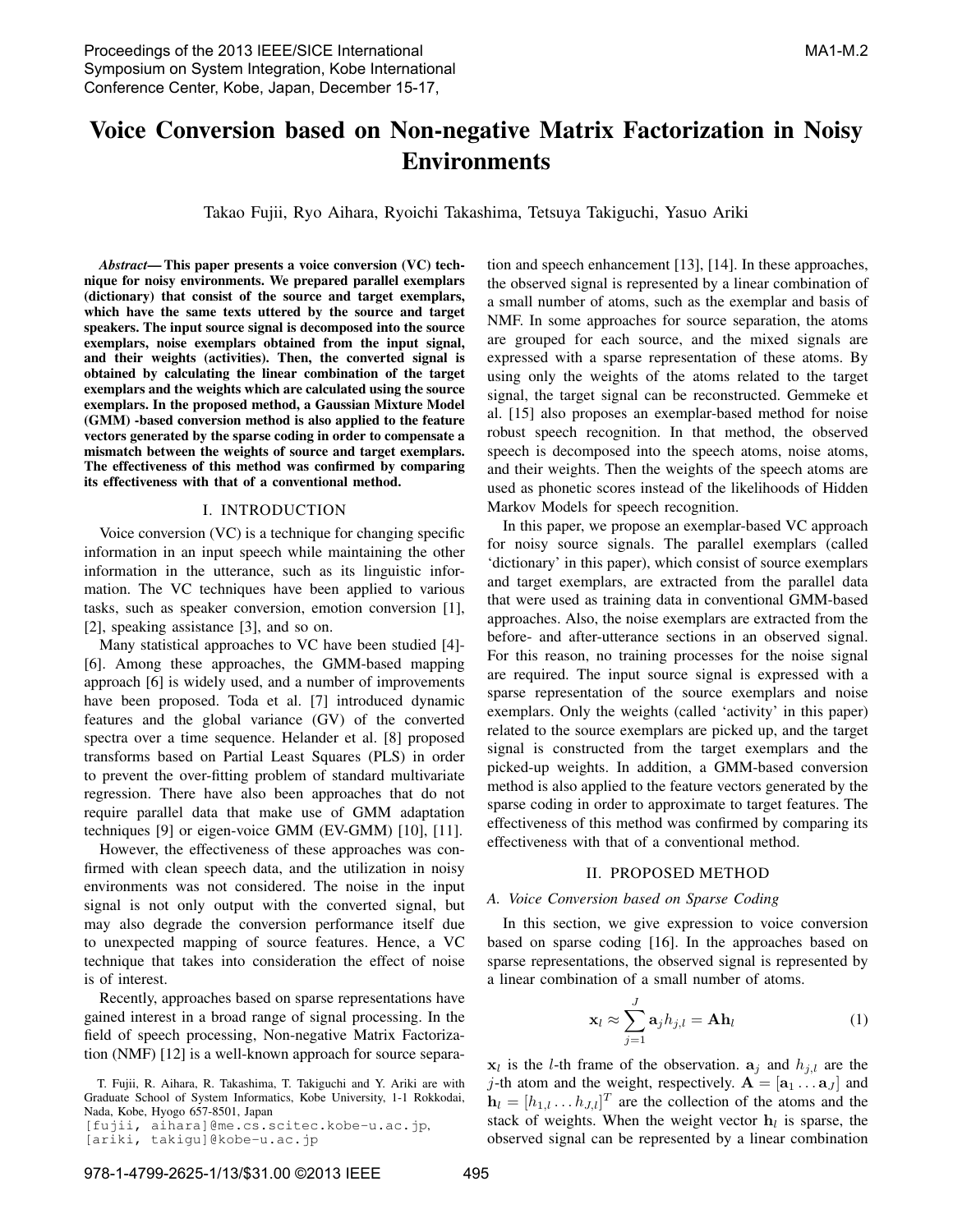# Voice Conversion based on Non-negative Matrix Factorization in Noisy Environments

Takao Fujii, Ryo Aihara, Ryoichi Takashima, Tetsuya Takiguchi, Yasuo Ariki

*Abstract*— This paper presents a voice conversion (VC) technique for noisy environments. We prepared parallel exemplars (dictionary) that consist of the source and target exemplars, which have the same texts uttered by the source and target speakers. The input source signal is decomposed into the source exemplars, noise exemplars obtained from the input signal, and their weights (activities). Then, the converted signal is obtained by calculating the linear combination of the target exemplars and the weights which are calculated using the source exemplars. In the proposed method, a Gaussian Mixture Model (GMM) -based conversion method is also applied to the feature vectors generated by the sparse coding in order to compensate a mismatch between the weights of source and target exemplars. The effectiveness of this method was confirmed by comparing its effectiveness with that of a conventional method.

## I. INTRODUCTION

Voice conversion (VC) is a technique for changing specific information in an input speech while maintaining the other information in the utterance, such as its linguistic information. The VC techniques have been applied to various tasks, such as speaker conversion, emotion conversion [1], [2], speaking assistance [3], and so on.

Many statistical approaches to VC have been studied [4]- [6]. Among these approaches, the GMM-based mapping approach [6] is widely used, and a number of improvements have been proposed. Toda et al. [7] introduced dynamic features and the global variance (GV) of the converted spectra over a time sequence. Helander et al. [8] proposed transforms based on Partial Least Squares (PLS) in order to prevent the over-fitting problem of standard multivariate regression. There have also been approaches that do not require parallel data that make use of GMM adaptation techniques [9] or eigen-voice GMM (EV-GMM) [10], [11].

However, the effectiveness of these approaches was confirmed with clean speech data, and the utilization in noisy environments was not considered. The noise in the input signal is not only output with the converted signal, but may also degrade the conversion performance itself due to unexpected mapping of source features. Hence, a VC technique that takes into consideration the effect of noise is of interest.

Recently, approaches based on sparse representations have gained interest in a broad range of signal processing. In the field of speech processing, Non-negative Matrix Factorization (NMF) [12] is a well-known approach for source separa-

T. Fujii, R. Aihara, R. Takashima, T. Takiguchi and Y. Ariki are with Graduate School of System Informatics, Kobe University, 1-1 Rokkodai, Nada, Kobe, Hyogo 657-8501, Japan

[fujii, aihara]@me.cs.scitec.kobe-u.ac.jp,

tion and speech enhancement [13], [14]. In these approaches, the observed signal is represented by a linear combination of a small number of atoms, such as the exemplar and basis of NMF. In some approaches for source separation, the atoms are grouped for each source, and the mixed signals are expressed with a sparse representation of these atoms. By using only the weights of the atoms related to the target signal, the target signal can be reconstructed. Gemmeke et al. [15] also proposes an exemplar-based method for noise robust speech recognition. In that method, the observed speech is decomposed into the speech atoms, noise atoms, and their weights. Then the weights of the speech atoms are used as phonetic scores instead of the likelihoods of Hidden Markov Models for speech recognition.

In this paper, we propose an exemplar-based VC approach for noisy source signals. The parallel exemplars (called 'dictionary' in this paper), which consist of source exemplars and target exemplars, are extracted from the parallel data that were used as training data in conventional GMM-based approaches. Also, the noise exemplars are extracted from the before- and after-utterance sections in an observed signal. For this reason, no training processes for the noise signal are required. The input source signal is expressed with a sparse representation of the source exemplars and noise exemplars. Only the weights (called 'activity' in this paper) related to the source exemplars are picked up, and the target signal is constructed from the target exemplars and the picked-up weights. In addition, a GMM-based conversion method is also applied to the feature vectors generated by the sparse coding in order to approximate to target features. The effectiveness of this method was confirmed by comparing its effectiveness with that of a conventional method.

# II. PROPOSED METHOD

# *A. Voice Conversion based on Sparse Coding*

In this section, we give expression to voice conversion based on sparse coding [16]. In the approaches based on sparse representations, the observed signal is represented by a linear combination of a small number of atoms.

$$
\mathbf{x}_l \approx \sum_{j=1}^J \mathbf{a}_j h_{j,l} = \mathbf{A} \mathbf{h}_l
$$
 (1)

 $x_l$  is the *l*-th frame of the observation.  $a_j$  and  $h_{j,l}$  are the j-th atom and the weight, respectively.  $A = [a_1 \dots a_J]$  and  $\mathbf{h}_l = [h_{1,l} \dots h_{J,l}]^T$  are the collection of the atoms and the stack of weights. When the weight vector  $\mathbf{h}_l$  is sparse, the observed signal can be represented by a linear combination

<sup>[</sup>ariki, takigu]@kobe-u.ac.jp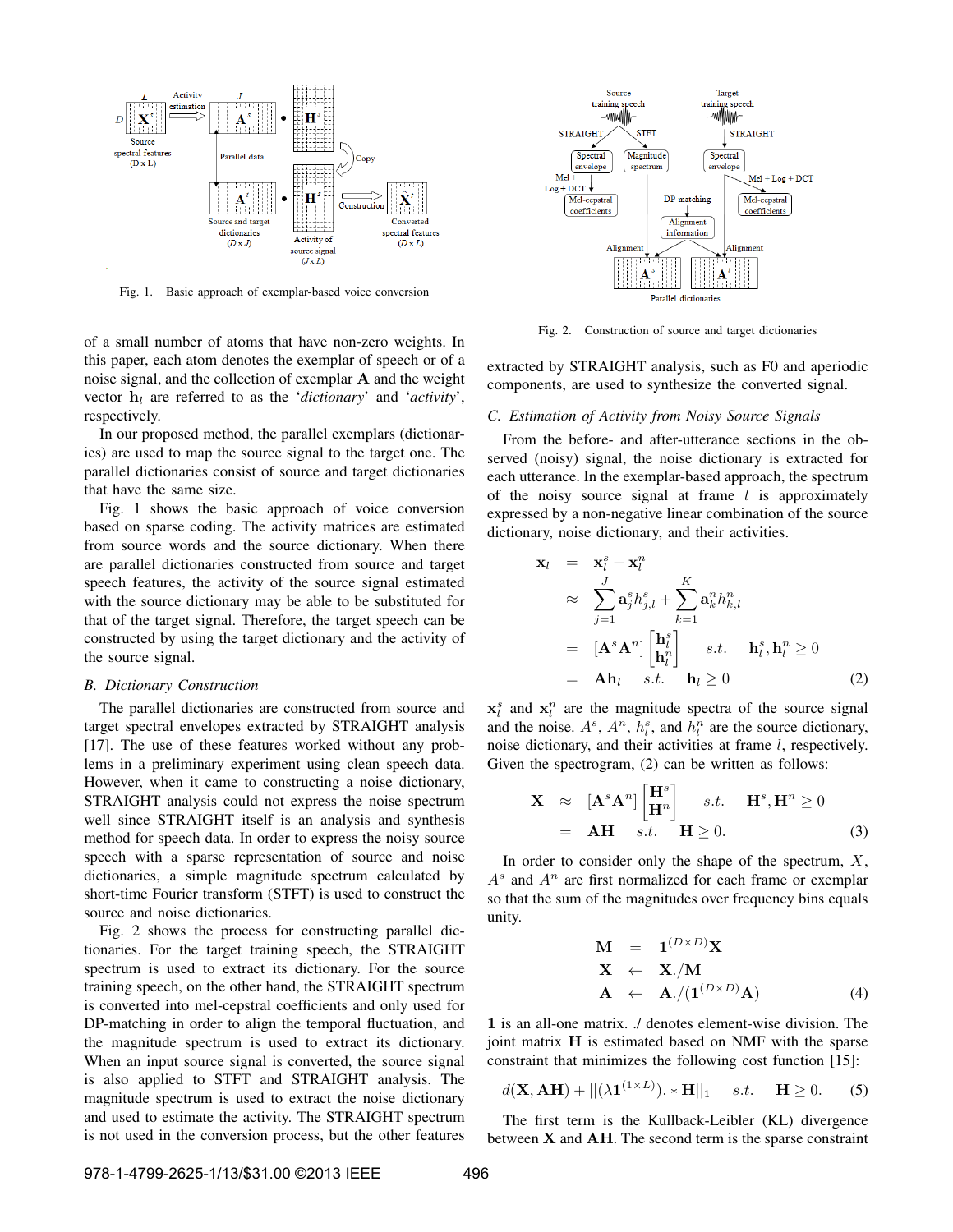

Fig. 1. Basic approach of exemplar-based voice conversion

of a small number of atoms that have non-zero weights. In this paper, each atom denotes the exemplar of speech or of a noise signal, and the collection of exemplar A and the weight vector  $h_l$  are referred to as the '*dictionary*' and '*activity*', respectively.

In our proposed method, the parallel exemplars (dictionaries) are used to map the source signal to the target one. The parallel dictionaries consist of source and target dictionaries that have the same size.

Fig. 1 shows the basic approach of voice conversion based on sparse coding. The activity matrices are estimated from source words and the source dictionary. When there are parallel dictionaries constructed from source and target speech features, the activity of the source signal estimated with the source dictionary may be able to be substituted for that of the target signal. Therefore, the target speech can be constructed by using the target dictionary and the activity of the source signal.

#### *B. Dictionary Construction*

The parallel dictionaries are constructed from source and target spectral envelopes extracted by STRAIGHT analysis [17]. The use of these features worked without any problems in a preliminary experiment using clean speech data. However, when it came to constructing a noise dictionary, STRAIGHT analysis could not express the noise spectrum well since STRAIGHT itself is an analysis and synthesis method for speech data. In order to express the noisy source speech with a sparse representation of source and noise dictionaries, a simple magnitude spectrum calculated by short-time Fourier transform (STFT) is used to construct the source and noise dictionaries.

Fig. 2 shows the process for constructing parallel dictionaries. For the target training speech, the STRAIGHT spectrum is used to extract its dictionary. For the source training speech, on the other hand, the STRAIGHT spectrum is converted into mel-cepstral coefficients and only used for DP-matching in order to align the temporal fluctuation, and the magnitude spectrum is used to extract its dictionary. When an input source signal is converted, the source signal is also applied to STFT and STRAIGHT analysis. The magnitude spectrum is used to extract the noise dictionary and used to estimate the activity. The STRAIGHT spectrum is not used in the conversion process, but the other features



Fig. 2. Construction of source and target dictionaries

extracted by STRAIGHT analysis, such as F0 and aperiodic components, are used to synthesize the converted signal.

## *C. Estimation of Activity from Noisy Source Signals*

From the before- and after-utterance sections in the observed (noisy) signal, the noise dictionary is extracted for each utterance. In the exemplar-based approach, the spectrum of the noisy source signal at frame  $l$  is approximately expressed by a non-negative linear combination of the source dictionary, noise dictionary, and their activities.

$$
\mathbf{x}_{l} = \mathbf{x}_{l}^{s} + \mathbf{x}_{l}^{n}
$$
\n
$$
\approx \sum_{j=1}^{J} \mathbf{a}_{j}^{s} h_{j,l}^{s} + \sum_{k=1}^{K} \mathbf{a}_{k}^{n} h_{k,l}^{n}
$$
\n
$$
= [\mathbf{A}^{s} \mathbf{A}^{n}] \begin{bmatrix} \mathbf{h}_{l}^{s} \\ \mathbf{h}_{l}^{n} \end{bmatrix} \quad s.t. \quad \mathbf{h}_{l}^{s}, \mathbf{h}_{l}^{n} \ge 0
$$
\n
$$
= \mathbf{A} \mathbf{h}_{l} \quad s.t. \quad \mathbf{h}_{l} \ge 0 \tag{2}
$$

 $x_i^s$  and  $x_i^n$  are the magnitude spectra of the source signal and the noise.  $A^s$ ,  $A^n$ ,  $h_l^s$ , and  $h_l^n$  are the source dictionary, noise dictionary, and their activities at frame l, respectively. Given the spectrogram, (2) can be written as follows:

$$
\mathbf{X} \approx [\mathbf{A}^s \mathbf{A}^n] \begin{bmatrix} \mathbf{H}^s \\ \mathbf{H}^n \end{bmatrix} \quad s.t. \quad \mathbf{H}^s, \mathbf{H}^n \ge 0
$$
  
=  $\mathbf{A}\mathbf{H} \quad s.t. \quad \mathbf{H} \ge 0.$  (3)

In order to consider only the shape of the spectrum,  $X$ ,  $A<sup>s</sup>$  and  $A<sup>n</sup>$  are first normalized for each frame or exemplar so that the sum of the magnitudes over frequency bins equals unity.

$$
\mathbf{M} = \mathbf{1}^{(D \times D)} \mathbf{X}
$$
\n
$$
\mathbf{X} \leftarrow \mathbf{X}./\mathbf{M}
$$
\n
$$
\mathbf{A} \leftarrow \mathbf{A}./(\mathbf{1}^{(D \times D)} \mathbf{A})
$$
\n(4)

1 is an all-one matrix. ./ denotes element-wise division. The joint matrix H is estimated based on NMF with the sparse constraint that minimizes the following cost function [15]:

$$
d(\mathbf{X}, \mathbf{A}\mathbf{H}) + ||(\lambda \mathbf{1}^{(1 \times L)}) \cdot \mathbf{H}||_1 \quad s.t. \quad \mathbf{H} \ge 0. \tag{5}
$$

The first term is the Kullback-Leibler (KL) divergence between  $X$  and  $AH$ . The second term is the sparse constraint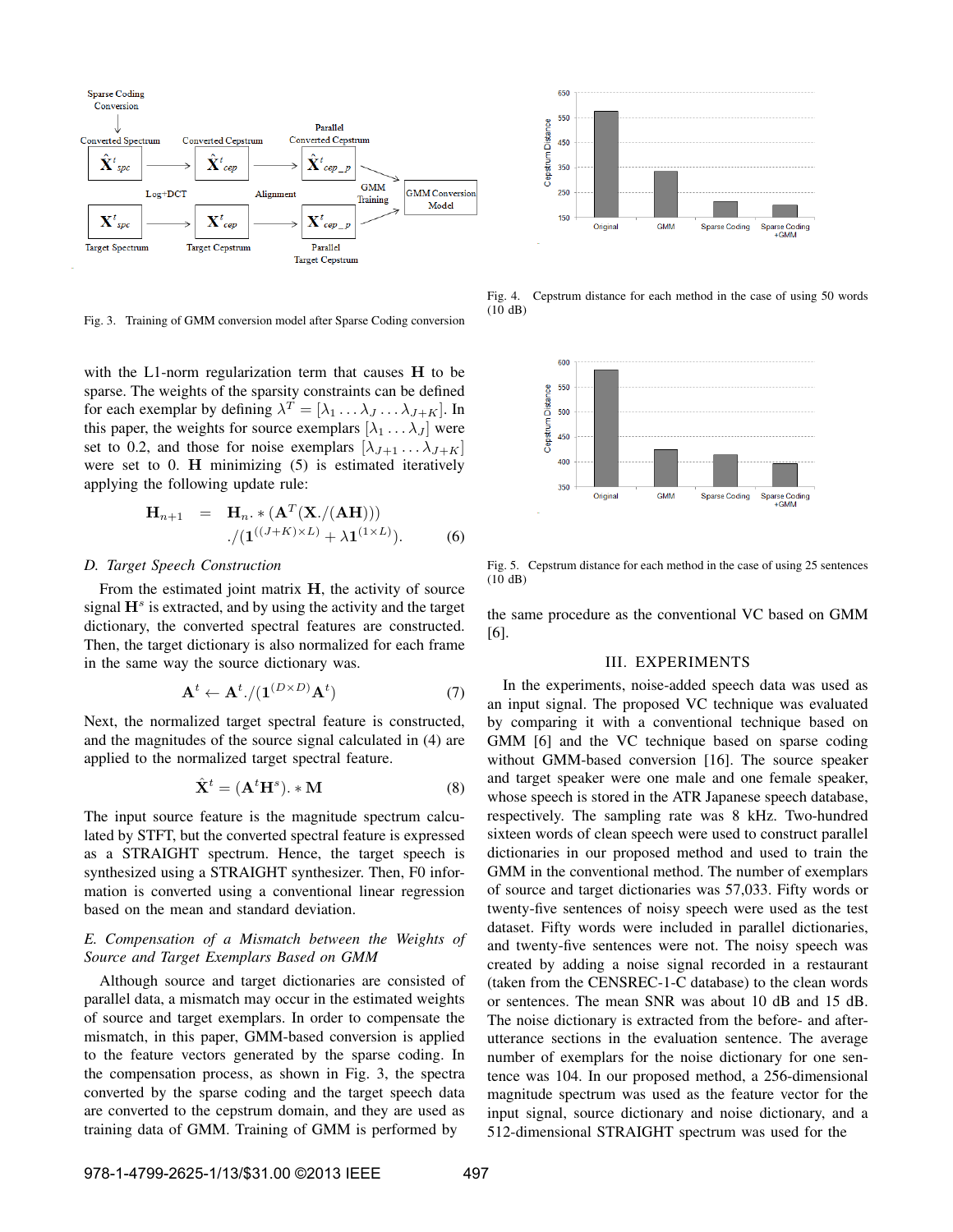

Fig. 3. Training of GMM conversion model after Sparse Coding conversion

with the L1-norm regularization term that causes **H** to be sparse. The weights of the sparsity constraints can be defined for each exemplar by defining  $\lambda^T = [\lambda_1 \dots \lambda_J \dots \lambda_{J+K}]$ . In this paper, the weights for source exemplars  $[\lambda_1 \dots \lambda_J]$  were set to 0.2, and those for noise exemplars  $[\lambda_{J+1} \dots \lambda_{J+K}]$ were set to 0. H minimizing (5) is estimated iteratively applying the following update rule:

$$
\mathbf{H}_{n+1} = \mathbf{H}_n \cdot * (\mathbf{A}^T (\mathbf{X}./(\mathbf{A} \mathbf{H}))) \n./(\mathbf{1}^{((J+K)\times L)} + \lambda \mathbf{1}^{(1\times L)}).
$$
\n(6)

## *D. Target Speech Construction*

From the estimated joint matrix H, the activity of source signal  $H<sup>s</sup>$  is extracted, and by using the activity and the target dictionary, the converted spectral features are constructed. Then, the target dictionary is also normalized for each frame in the same way the source dictionary was.

$$
\mathbf{A}^t \leftarrow \mathbf{A}^t. / (\mathbf{1}^{(D \times D)} \mathbf{A}^t) \tag{7}
$$

Next, the normalized target spectral feature is constructed, and the magnitudes of the source signal calculated in (4) are applied to the normalized target spectral feature.

$$
\hat{\mathbf{X}}^t = (\mathbf{A}^t \mathbf{H}^s) \cdot \mathbf{M} \tag{8}
$$

The input source feature is the magnitude spectrum calculated by STFT, but the converted spectral feature is expressed as a STRAIGHT spectrum. Hence, the target speech is synthesized using a STRAIGHT synthesizer. Then, F0 information is converted using a conventional linear regression based on the mean and standard deviation.

# *E. Compensation of a Mismatch between the Weights of Source and Target Exemplars Based on GMM*

Although source and target dictionaries are consisted of parallel data, a mismatch may occur in the estimated weights of source and target exemplars. In order to compensate the mismatch, in this paper, GMM-based conversion is applied to the feature vectors generated by the sparse coding. In the compensation process, as shown in Fig. 3, the spectra converted by the sparse coding and the target speech data are converted to the cepstrum domain, and they are used as training data of GMM. Training of GMM is performed by



Fig. 4. Cepstrum distance for each method in the case of using 50 words (10 dB)



Fig. 5. Cepstrum distance for each method in the case of using 25 sentences  $(10 dB)$ 

the same procedure as the conventional VC based on GMM [6].

#### III. EXPERIMENTS

In the experiments, noise-added speech data was used as an input signal. The proposed VC technique was evaluated by comparing it with a conventional technique based on GMM [6] and the VC technique based on sparse coding without GMM-based conversion [16]. The source speaker and target speaker were one male and one female speaker, whose speech is stored in the ATR Japanese speech database, respectively. The sampling rate was 8 kHz. Two-hundred sixteen words of clean speech were used to construct parallel dictionaries in our proposed method and used to train the GMM in the conventional method. The number of exemplars of source and target dictionaries was 57,033. Fifty words or twenty-five sentences of noisy speech were used as the test dataset. Fifty words were included in parallel dictionaries, and twenty-five sentences were not. The noisy speech was created by adding a noise signal recorded in a restaurant (taken from the CENSREC-1-C database) to the clean words or sentences. The mean SNR was about 10 dB and 15 dB. The noise dictionary is extracted from the before- and afterutterance sections in the evaluation sentence. The average number of exemplars for the noise dictionary for one sentence was 104. In our proposed method, a 256-dimensional magnitude spectrum was used as the feature vector for the input signal, source dictionary and noise dictionary, and a 512-dimensional STRAIGHT spectrum was used for the